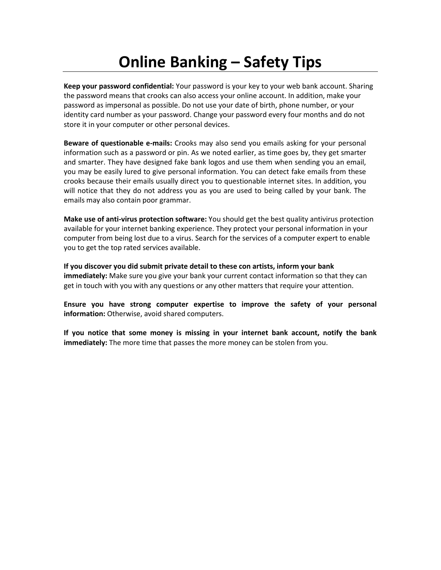## **Online Banking – Safety Tips**

**Keep your password confidential:** Your password is your key to your web bank account. Sharing the password means that crooks can also access your online account. In addition, make your password as impersonal as possible. Do not use your date of birth, phone number, or your identity card number as your password. Change your password every four months and do not store it in your computer or other personal devices.

**Beware of questionable e-mails:** Crooks may also send you emails asking for your personal information such as a password or pin. As we noted earlier, as time goes by, they get smarter and smarter. They have designed fake bank logos and use them when sending you an email, you may be easily lured to give personal information. You can detect fake emails from these crooks because their emails usually direct you to questionable internet sites. In addition, you will notice that they do not address you as you are used to being called by your bank. The emails may also contain poor grammar.

**Make use of anti-virus protection software:** You should get the best quality antivirus protection available for your internet banking experience. They protect your personal information in your computer from being lost due to a virus. Search for the services of a computer expert to enable you to get the top rated services available.

**If you discover you did submit private detail to these con artists, inform your bank immediately:** Make sure you give your bank your current contact information so that they can get in touch with you with any questions or any other matters that require your attention.

**Ensure you have strong computer expertise to improve the safety of your personal information:** Otherwise, avoid shared computers.

**If you notice that some money is missing in your internet bank account, notify the bank immediately:** The more time that passes the more money can be stolen from you.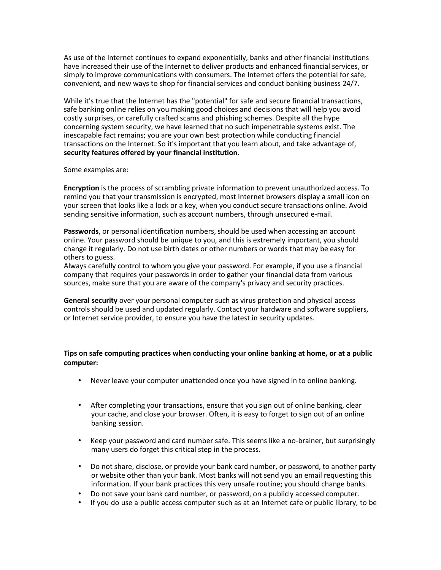As use of the Internet continues to expand exponentially, banks and other financial institutions have increased their use of the Internet to deliver products and enhanced financial services, or simply to improve communications with consumers. The Internet offers the potential for safe, convenient, and new ways to shop for financial services and conduct banking business 24/7.

While it's true that the Internet has the "potential" for safe and secure financial transactions, safe banking online relies on you making good choices and decisions that will help you avoid costly surprises, or carefully crafted scams and phishing schemes. Despite all the hype concerning system security, we have learned that no such impenetrable systems exist. The inescapable fact remains; you are your own best protection while conducting financial transactions on the Internet. So it's important that you learn about, and take advantage of, **security features offered by your financial institution.**

Some examples are:

**Encryption** is the process of scrambling private information to prevent unauthorized access. To remind you that your transmission is encrypted, most Internet browsers display a small icon on your screen that looks like a lock or a key, when you conduct secure transactions online. Avoid sending sensitive information, such as account numbers, through unsecured e-mail.

**Passwords**, or personal identification numbers, should be used when accessing an account online. Your password should be unique to you, and this is extremely important, you should change it regularly. Do not use birth dates or other numbers or words that may be easy for others to guess.

Always carefully control to whom you give your password. For example, if you use a financial company that requires your passwords in order to gather your financial data from various sources, make sure that you are aware of the company's privacy and security practices.

**General security** over your personal computer such as virus protection and physical access controls should be used and updated regularly. Contact your hardware and software suppliers, or Internet service provider, to ensure you have the latest in security updates.

**Tips on safe computing practices when conducting your online banking at home, or at a public computer:** 

- Never leave your computer unattended once you have signed in to online banking.
- After completing your transactions, ensure that you sign out of online banking, clear your cache, and close your browser. Often, it is easy to forget to sign out of an online banking session.
- Keep your password and card number safe. This seems like a no-brainer, but surprisingly many users do forget this critical step in the process.
- Do not share, disclose, or provide your bank card number, or password, to another party or website other than your bank. Most banks will not send you an email requesting this information. If your bank practices this very unsafe routine; you should change banks.
- Do not save your bank card number, or password, on a publicly accessed computer.
- If you do use a public access computer such as at an Internet cafe or public library, to be